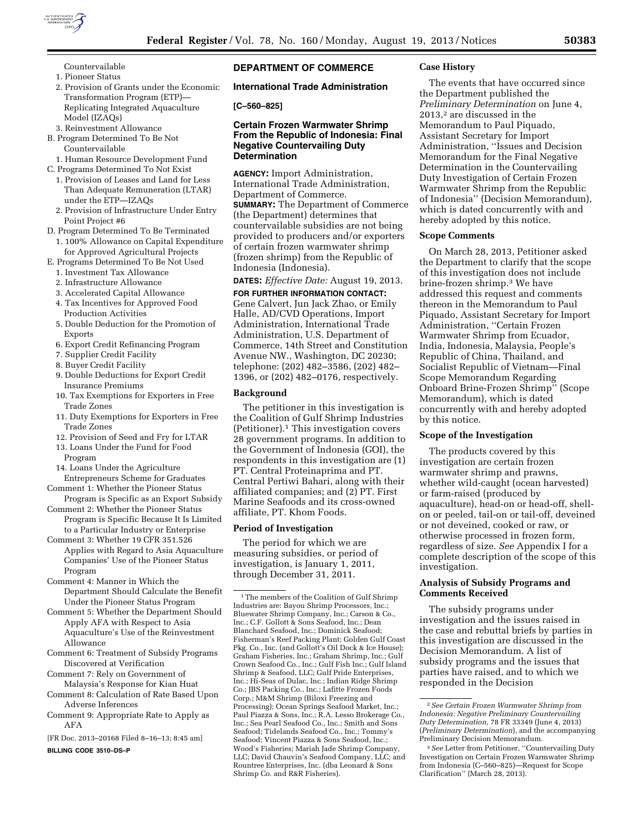

- Countervailable
- 1. Pioneer Status
- 2. Provision of Grants under the Economic Transformation Program (ETP)— Replicating Integrated Aquaculture Model (IZAQs)
- 3. Reinvestment Allowance
- B. Program Determined To Be Not Countervailable
- 1. Human Resource Development Fund C. Programs Determined To Not Exist
- 
- 1. Provision of Leases and Land for Less Than Adequate Remuneration (LTAR) under the ETP—IZAQs
- 2. Provision of Infrastructure Under Entry Point Project #6
- D. Program Determined To Be Terminated
	- 1. 100% Allowance on Capital Expenditure for Approved Agricultural Projects
- E. Programs Determined To Be Not Used
	- 1. Investment Tax Allowance
	- 2. Infrastructure Allowance
	- 3. Accelerated Capital Allowance
	- 4. Tax Incentives for Approved Food Production Activities
	- 5. Double Deduction for the Promotion of Exports
	- 6. Export Credit Refinancing Program
	- 7. Supplier Credit Facility
	- 8. Buyer Credit Facility
	- 9. Double Deductions for Export Credit Insurance Premiums
	- 10. Tax Exemptions for Exporters in Free Trade Zones
	- 11. Duty Exemptions for Exporters in Free Trade Zones
	- 12. Provision of Seed and Fry for LTAR
	- 13. Loans Under the Fund for Food Program
	- 14. Loans Under the Agriculture Entrepreneurs Scheme for Graduates
- Comment 1: Whether the Pioneer Status Program is Specific as an Export Subsidy
- Comment 2: Whether the Pioneer Status Program is Specific Because It Is Limited
- to a Particular Industry or Enterprise Comment 3: Whether 19 CFR 351.526
- Applies with Regard to Asia Aquaculture Companies' Use of the Pioneer Status Program
- Comment 4: Manner in Which the Department Should Calculate the Benefit Under the Pioneer Status Program
- Comment 5: Whether the Department Should Apply AFA with Respect to Asia Aquaculture's Use of the Reinvestment Allowance
- Comment 6: Treatment of Subsidy Programs Discovered at Verification
- Comment 7: Rely on Government of Malaysia's Response for Kian Huat
- Comment 8: Calculation of Rate Based Upon Adverse Inferences
- Comment 9: Appropriate Rate to Apply as AFA
- [FR Doc. 2013–20168 Filed 8–16–13; 8:45 am]

**BILLING CODE 3510–DS–P** 

# **DEPARTMENT OF COMMERCE**

# **International Trade Administration**

#### **[C–560–825]**

# **Certain Frozen Warmwater Shrimp From the Republic of Indonesia: Final Negative Countervailing Duty Determination**

**AGENCY:** Import Administration, International Trade Administration, Department of Commerce. **SUMMARY:** The Department of Commerce (the Department) determines that countervailable subsidies are not being provided to producers and/or exporters of certain frozen warmwater shrimp (frozen shrimp) from the Republic of Indonesia (Indonesia).

# **DATES:** *Effective Date:* August 19, 2013.

**FOR FURTHER INFORMATION CONTACT:**  Gene Calvert, Jun Jack Zhao, or Emily Halle, AD/CVD Operations, Import Administration, International Trade Administration, U.S. Department of Commerce, 14th Street and Constitution Avenue NW., Washington, DC 20230; telephone: (202) 482–3586, (202) 482– 1396, or (202) 482–0176, respectively.

## **Background**

The petitioner in this investigation is the Coalition of Gulf Shrimp Industries (Petitioner).1 This investigation covers 28 government programs. In addition to the Government of Indonesia (GOI), the respondents in this investigation are (1) PT. Central Proteinaprima and PT. Central Pertiwi Bahari, along with their affiliated companies; and (2) PT. First Marine Seafoods and its cross-owned affiliate, PT. Khom Foods.

#### **Period of Investigation**

The period for which we are measuring subsidies, or period of investigation, is January 1, 2011, through December 31, 2011.

#### **Case History**

The events that have occurred since the Department published the *Preliminary Determination* on June 4, 2013,2 are discussed in the Memorandum to Paul Piquado, Assistant Secretary for Import Administration, ''Issues and Decision Memorandum for the Final Negative Determination in the Countervailing Duty Investigation of Certain Frozen Warmwater Shrimp from the Republic of Indonesia'' (Decision Memorandum), which is dated concurrently with and hereby adopted by this notice.

# **Scope Comments**

On March 28, 2013, Petitioner asked the Department to clarify that the scope of this investigation does not include brine-frozen shrimp.3 We have addressed this request and comments thereon in the Memorandum to Paul Piquado, Assistant Secretary for Import Administration, ''Certain Frozen Warmwater Shrimp from Ecuador, India, Indonesia, Malaysia, People's Republic of China, Thailand, and Socialist Republic of Vietnam—Final Scope Memorandum Regarding Onboard Brine-Frozen Shrimp'' (Scope Memorandum), which is dated concurrently with and hereby adopted by this notice.

### **Scope of the Investigation**

The products covered by this investigation are certain frozen warmwater shrimp and prawns, whether wild-caught (ocean harvested) or farm-raised (produced by aquaculture), head-on or head-off, shellon or peeled, tail-on or tail-off, deveined or not deveined, cooked or raw, or otherwise processed in frozen form, regardless of size. *See* Appendix I for a complete description of the scope of this investigation.

# **Analysis of Subsidy Programs and Comments Received**

The subsidy programs under investigation and the issues raised in the case and rebuttal briefs by parties in this investigation are discussed in the Decision Memorandum. A list of subsidy programs and the issues that parties have raised, and to which we responded in the Decision

<sup>&</sup>lt;sup>1</sup>The members of the Coalition of Gulf Shrimp Industries are: Bayou Shrimp Processors, Inc.; Bluewater Shrimp Company, Inc.; Carson & Co., Inc.; C.F. Gollott & Sons Seafood, Inc.; Dean Blanchard Seafood, Inc.; Dominick Seafood; Fisherman's Reef Packing Plant; Golden Gulf Coast Pkg. Co., Inc. (and Gollott's Oil Dock & Ice House); Graham Fisheries, Inc.; Graham Shrimp, Inc.; Gulf Crown Seafood Co., Inc.; Gulf Fish Inc.; Gulf Island Shrimp & Seafood, LLC; Gulf Pride Enterprises, Inc.; Hi-Seas of Dulac, Inc.; Indian Ridge Shrimp Co.; JBS Packing Co., Inc.; Lafitte Frozen Foods Corp.; M&M Shrimp (Biloxi Freezing and Processing); Ocean Springs Seafood Market, Inc.; Paul Piazza & Sons, Inc.; R.A. Lesso Brokerage Co., Inc.; Sea Pearl Seafood Co., Inc.; Smith and Sons Seafood; Tidelands Seafood Co., Inc.; Tommy's Seafood; Vincent Piazza & Sons Seafood, Inc.; Wood's Fisheries; Mariah Jade Shrimp Company, LLC; David Chauvin's Seafood Company, LLC; and Rountree Enterprises, Inc. (dba Leonard & Sons Shrimp Co. and R&R Fisheries).

<sup>2</sup>*See Certain Frozen Warmwater Shrimp from Indonesia: Negative Preliminary Countervailing Duty Determination,* 78 FR 33349 (June 4, 2013) (*Preliminary Determination*), and the accompanying Preliminary Decision Memorandum.

<sup>3</sup>*See* Letter from Petitioner, ''Countervailing Duty Investigation on Certain Frozen Warmwater Shrimp from Indonesia (C–560–825)—Request for Scope Clarification'' (March 28, 2013).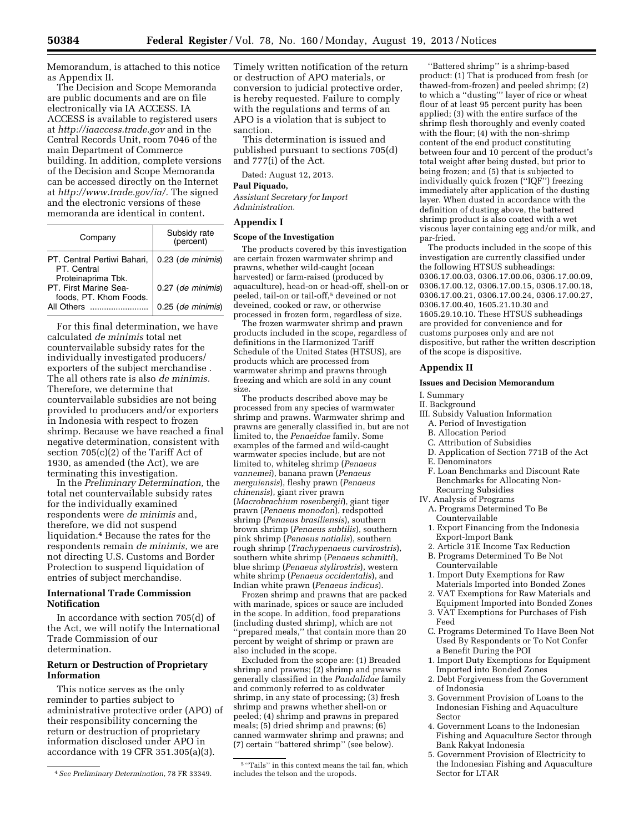Memorandum, is attached to this notice as Appendix II.

The Decision and Scope Memoranda are public documents and are on file electronically via IA ACCESS. IA ACCESS is available to registered users at *<http://iaaccess.trade.gov>* and in the Central Records Unit, room 7046 of the main Department of Commerce building. In addition, complete versions of the Decision and Scope Memoranda can be accessed directly on the Internet at *[http://www.trade.gov/ia/.](http://www.trade.gov/ia/)* The signed and the electronic versions of these memoranda are identical in content.

| Company                                                          | Subsidy rate<br>(percent) |
|------------------------------------------------------------------|---------------------------|
| PT. Central Pertiwi Bahari,<br>PT. Central<br>Proteinaprima Tbk. | 0.23 (de minimis)         |
| PT. First Marine Sea-<br>foods, PT. Khom Foods.                  | 0.27 (de minimis)         |
| All Others                                                       | 0.25 (de minimis)         |

For this final determination, we have calculated *de minimis* total net countervailable subsidy rates for the individually investigated producers/ exporters of the subject merchandise . The all others rate is also *de minimis.*  Therefore, we determine that countervailable subsidies are not being provided to producers and/or exporters in Indonesia with respect to frozen shrimp. Because we have reached a final negative determination, consistent with section 705(c)(2) of the Tariff Act of 1930, as amended (the Act), we are terminating this investigation.

In the *Preliminary Determination,* the total net countervailable subsidy rates for the individually examined respondents were *de minimis* and, therefore, we did not suspend liquidation.4 Because the rates for the respondents remain *de minimis,* we are not directing U.S. Customs and Border Protection to suspend liquidation of entries of subject merchandise.

# **International Trade Commission Notification**

In accordance with section 705(d) of the Act, we will notify the International Trade Commission of our determination.

# **Return or Destruction of Proprietary Information**

This notice serves as the only reminder to parties subject to administrative protective order (APO) of their responsibility concerning the return or destruction of proprietary information disclosed under APO in accordance with 19 CFR 351.305(a)(3).

Timely written notification of the return or destruction of APO materials, or conversion to judicial protective order, is hereby requested. Failure to comply with the regulations and terms of an APO is a violation that is subject to sanction.

This determination is issued and published pursuant to sections 705(d) and 777(i) of the Act.

Dated: August 12, 2013.

# **Paul Piquado,**

*Assistant Secretary for Import Administration.* 

#### **Appendix I**

### **Scope of the Investigation**

The products covered by this investigation are certain frozen warmwater shrimp and prawns, whether wild-caught (ocean harvested) or farm-raised (produced by aquaculture), head-on or head-off, shell-on or peeled, tail-on or tail-off,<sup>5</sup> deveined or not deveined, cooked or raw, or otherwise processed in frozen form, regardless of size.

The frozen warmwater shrimp and prawn products included in the scope, regardless of definitions in the Harmonized Tariff Schedule of the United States (HTSUS), are products which are processed from warmwater shrimp and prawns through freezing and which are sold in any count size.

The products described above may be processed from any species of warmwater shrimp and prawns. Warmwater shrimp and prawns are generally classified in, but are not limited to, the *Penaeidae* family. Some examples of the farmed and wild-caught warmwater species include, but are not limited to, whiteleg shrimp (*Penaeus vannemei*), banana prawn (*Penaeus merguiensis*), fleshy prawn (*Penaeus chinensis*), giant river prawn (*Macrobrachium rosenbergii*), giant tiger prawn (*Penaeus monodon*), redspotted shrimp (*Penaeus brasiliensis*), southern brown shrimp (*Penaeus subtilis*), southern pink shrimp (*Penaeus notialis*), southern rough shrimp (*Trachypenaeus curvirostris*), southern white shrimp (*Penaeus schmitti*), blue shrimp (*Penaeus stylirostris*), western white shrimp (*Penaeus occidentalis*), and Indian white prawn (*Penaeus indicus*).

Frozen shrimp and prawns that are packed with marinade, spices or sauce are included in the scope. In addition, food preparations (including dusted shrimp), which are not 'prepared meals," that contain more than 20 percent by weight of shrimp or prawn are also included in the scope.

Excluded from the scope are: (1) Breaded shrimp and prawns; (2) shrimp and prawns generally classified in the *Pandalidae* family and commonly referred to as coldwater shrimp, in any state of processing; (3) fresh shrimp and prawns whether shell-on or peeled; (4) shrimp and prawns in prepared meals; (5) dried shrimp and prawns; (6) canned warmwater shrimp and prawns; and (7) certain ''battered shrimp'' (see below).

''Battered shrimp'' is a shrimp-based product: (1) That is produced from fresh (or thawed-from-frozen) and peeled shrimp; (2) to which a ''dusting''' layer of rice or wheat flour of at least 95 percent purity has been applied; (3) with the entire surface of the shrimp flesh thoroughly and evenly coated with the flour; (4) with the non-shrimp content of the end product constituting between four and 10 percent of the product's total weight after being dusted, but prior to being frozen; and (5) that is subjected to individually quick frozen (''IQF'') freezing immediately after application of the dusting layer. When dusted in accordance with the definition of dusting above, the battered shrimp product is also coated with a wet viscous layer containing egg and/or milk, and par-fried.

The products included in the scope of this investigation are currently classified under the following HTSUS subheadings: 0306.17.00.03, 0306.17.00.06, 0306.17.00.09, 0306.17.00.12, 0306.17.00.15, 0306.17.00.18, 0306.17.00.21, 0306.17.00.24, 0306.17.00.27, 0306.17.00.40, 1605.21.10.30 and 1605.29.10.10. These HTSUS subheadings are provided for convenience and for customs purposes only and are not dispositive, but rather the written description of the scope is dispositive.

# **Appendix II**

#### **Issues and Decision Memorandum**

# I. Summary

- II. Background
- III. Subsidy Valuation Information A. Period of Investigation
	- B. Allocation Period
	- C. Attribution of Subsidies
	- D. Application of Section 771B of the Act
- E. Denominators
- F. Loan Benchmarks and Discount Rate Benchmarks for Allocating Non-Recurring Subsidies
- IV. Analysis of Programs
- A. Programs Determined To Be Countervailable
- 1. Export Financing from the Indonesia Export-Import Bank
- 2. Article 31E Income Tax Reduction
- B. Programs Determined To Be Not Countervailable
- 1. Import Duty Exemptions for Raw Materials Imported into Bonded Zones
- 2. VAT Exemptions for Raw Materials and Equipment Imported into Bonded Zones
- 3. VAT Exemptions for Purchases of Fish Feed
- C. Programs Determined To Have Been Not Used By Respondents or To Not Confer a Benefit During the POI
- 1. Import Duty Exemptions for Equipment Imported into Bonded Zones
- 2. Debt Forgiveness from the Government of Indonesia
- 3. Government Provision of Loans to the Indonesian Fishing and Aquaculture Sector
- 4. Government Loans to the Indonesian Fishing and Aquaculture Sector through Bank Rakyat Indonesia
- 5. Government Provision of Electricity to the Indonesian Fishing and Aquaculture Sector for LTAR

<sup>4</sup>*See Preliminary Determination,* 78 FR 33349.

 $^{\rm 5\, \prime\prime}$  Tails'' in this context means the tail fan, which includes the telson and the uropods.